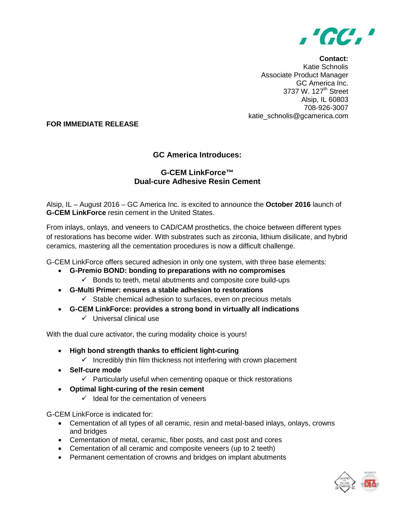

**Contact:** Katie Schnolis Associate Product Manager GC America Inc. 3737 W. 127<sup>th</sup> Street Alsip, IL 60803 708-926-3007 katie\_schnolis@gcamerica.com

## **FOR IMMEDIATE RELEASE**

## **GC America Introduces:**

## **G-CEM LinkForce™ Dual-cure Adhesive Resin Cement**

Alsip, IL – August 2016 – GC America Inc. is excited to announce the **October 2016** launch of **G-CEM LinkForce** resin cement in the United States.

From inlays, onlays, and veneers to CAD/CAM prosthetics, the choice between different types of restorations has become wider. With substrates such as zirconia, lithium disilicate, and hybrid ceramics, mastering all the cementation procedures is now a difficult challenge.

G-CEM LinkForce offers secured adhesion in only one system, with three base elements:

- **G-Premio BOND: bonding to preparations with no compromises**
	- $\checkmark$  Bonds to teeth, metal abutments and composite core build-ups
- **G-Multi Primer: ensures a stable adhesion to restorations**
	- $\checkmark$  Stable chemical adhesion to surfaces, even on precious metals
- **G-CEM LinkForce: provides a strong bond in virtually all indications**
	- $\checkmark$  Universal clinical use

With the dual cure activator, the curing modality choice is yours!

- **High bond strength thanks to efficient light-curing**
	- $\checkmark$  Incredibly thin film thickness not interfering with crown placement
- **Self-cure mode**
	- $\checkmark$  Particularly useful when cementing opaque or thick restorations
- **Optimal light-curing of the resin cement**
	- $\checkmark$  Ideal for the cementation of veneers

G-CEM LinkForce is indicated for:

- Cementation of all types of all ceramic, resin and metal-based inlays, onlays, crowns and bridges
- Cementation of metal, ceramic, fiber posts, and cast post and cores
- Cementation of all ceramic and composite veneers (up to 2 teeth)
- Permanent cementation of crowns and bridges on implant abutments